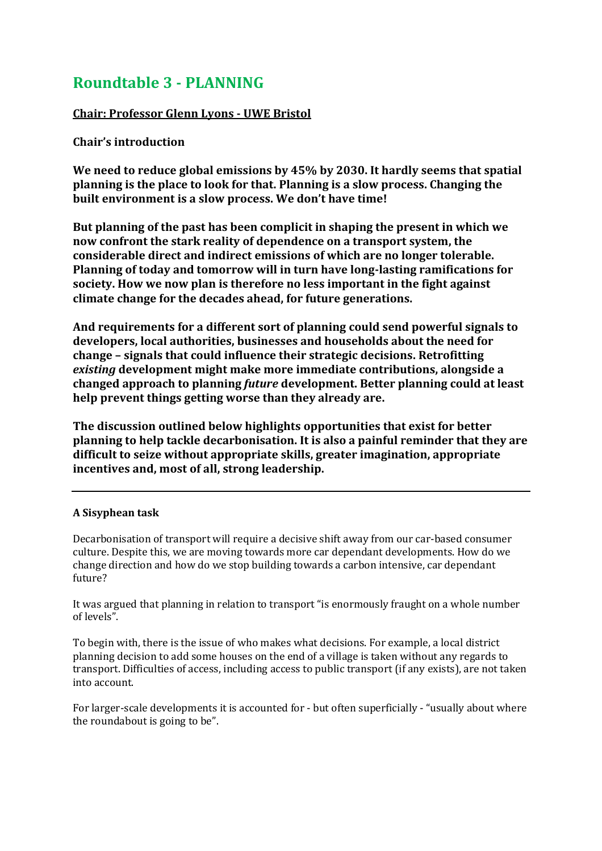# **Roundtable 3 - PLANNING**

## **Chair: Professor Glenn Lyons - UWE Bristol**

## **Chair's introduction**

**We need to reduce global emissions by 45% by 2030. It hardly seems that spatial planning is the place to look for that. Planning is a slow process. Changing the built environment is a slow process. We don't have time!**

**But planning of the past has been complicit in shaping the present in which we now confront the stark reality of dependence on a transport system, the considerable direct and indirect emissions of which are no longer tolerable. Planning of today and tomorrow will in turn have long-lasting ramifications for society. How we now plan is therefore no less important in the fight against climate change for the decades ahead, for future generations.**

**And requirements for a different sort of planning could send powerful signals to developers, local authorities, businesses and households about the need for change – signals that could influence their strategic decisions. Retrofitting**  *existing* **development might make more immediate contributions, alongside a changed approach to planning** *future* **development. Better planning could at least help prevent things getting worse than they already are.**

**The discussion outlined below highlights opportunities that exist for better planning to help tackle decarbonisation. It is also a painful reminder that they are difficult to seize without appropriate skills, greater imagination, appropriate incentives and, most of all, strong leadership.**

#### **A Sisyphean task**

Decarbonisation of transport will require a decisive shift away from our car-based consumer culture. Despite this, we are moving towards more car dependant developments. How do we change direction and how do we stop building towards a carbon intensive, car dependant future?

It was argued that planning in relation to transport "is enormously fraught on a whole number of levels".

To begin with, there is the issue of who makes what decisions. For example, a local district planning decision to add some houses on the end of a village is taken without any regards to transport. Difficulties of access, including access to public transport (if any exists), are not taken into account.

For larger-scale developments it is accounted for - but often superficially - "usually about where the roundabout is going to be".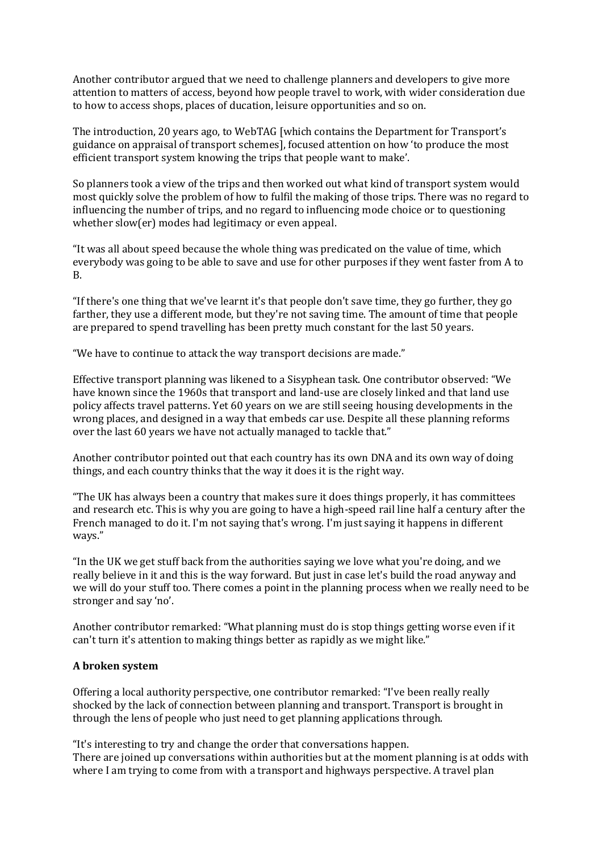Another contributor argued that we need to challenge planners and developers to give more attention to matters of access, beyond how people travel to work, with wider consideration due to how to access shops, places of ducation, leisure opportunities and so on.

The introduction, 20 years ago, to WebTAG [which contains the Department for Transport's guidance on appraisal of transport schemes], focused attention on how 'to produce the most efficient transport system knowing the trips that people want to make'.

So planners took a view of the trips and then worked out what kind of transport system would most quickly solve the problem of how to fulfil the making of those trips. There was no regard to influencing the number of trips, and no regard to influencing mode choice or to questioning whether slow(er) modes had legitimacy or even appeal.

"It was all about speed because the whole thing was predicated on the value of time, which everybody was going to be able to save and use for other purposes if they went faster from A to B.

"If there's one thing that we've learnt it's that people don't save time, they go further, they go farther, they use a different mode, but they're not saving time. The amount of time that people are prepared to spend travelling has been pretty much constant for the last 50 years.

"We have to continue to attack the way transport decisions are made."

Effective transport planning was likened to a Sisyphean task. One contributor observed: "We have known since the 1960s that transport and land-use are closely linked and that land use policy affects travel patterns. Yet 60 years on we are still seeing housing developments in the wrong places, and designed in a way that embeds car use. Despite all these planning reforms over the last 60 years we have not actually managed to tackle that."

Another contributor pointed out that each country has its own DNA and its own way of doing things, and each country thinks that the way it does it is the right way.

"The UK has always been a country that makes sure it does things properly, it has committees and research etc. This is why you are going to have a high-speed rail line half a century after the French managed to do it. I'm not saying that's wrong. I'm just saying it happens in different ways."

"In the UK we get stuff back from the authorities saying we love what you're doing, and we really believe in it and this is the way forward. But just in case let's build the road anyway and we will do your stuff too. There comes a point in the planning process when we really need to be stronger and say 'no'.

Another contributor remarked: "What planning must do is stop things getting worse even if it can't turn it's attention to making things better as rapidly as we might like."

#### **A broken system**

Offering a local authority perspective, one contributor remarked: "I've been really really shocked by the lack of connection between planning and transport. Transport is brought in through the lens of people who just need to get planning applications through.

"It's interesting to try and change the order that conversations happen. There are joined up conversations within authorities but at the moment planning is at odds with where I am trying to come from with a transport and highways perspective. A travel plan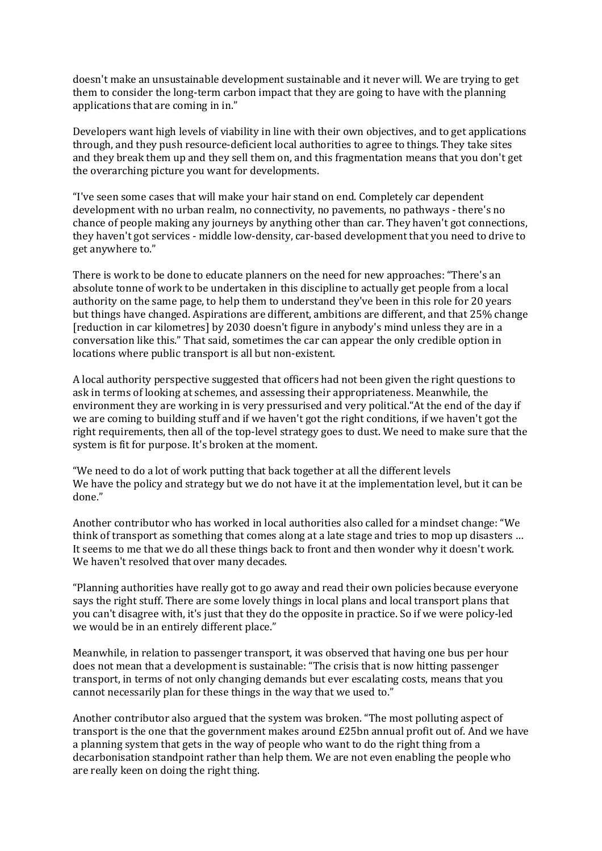doesn't make an unsustainable development sustainable and it never will. We are trying to get them to consider the long-term carbon impact that they are going to have with the planning applications that are coming in in."

Developers want high levels of viability in line with their own objectives, and to get applications through, and they push resource-deficient local authorities to agree to things. They take sites and they break them up and they sell them on, and this fragmentation means that you don't get the overarching picture you want for developments.

"I've seen some cases that will make your hair stand on end. Completely car dependent development with no urban realm, no connectivity, no pavements, no pathways - there's no chance of people making any journeys by anything other than car. They haven't got connections, they haven't got services - middle low-density, car-based development that you need to drive to get anywhere to."

There is work to be done to educate planners on the need for new approaches: "There's an absolute tonne of work to be undertaken in this discipline to actually get people from a local authority on the same page, to help them to understand they've been in this role for 20 years but things have changed. Aspirations are different, ambitions are different, and that 25% change [reduction in car kilometres] by 2030 doesn't figure in anybody's mind unless they are in a conversation like this." That said, sometimes the car can appear the only credible option in locations where public transport is all but non-existent.

A local authority perspective suggested that officers had not been given the right questions to ask in terms of looking at schemes, and assessing their appropriateness. Meanwhile, the environment they are working in is very pressurised and very political."At the end of the day if we are coming to building stuff and if we haven't got the right conditions, if we haven't got the right requirements, then all of the top-level strategy goes to dust. We need to make sure that the system is fit for purpose. It's broken at the moment.

"We need to do a lot of work putting that back together at all the different levels We have the policy and strategy but we do not have it at the implementation level, but it can be done."

Another contributor who has worked in local authorities also called for a mindset change: "We think of transport as something that comes along at a late stage and tries to mop up disasters … It seems to me that we do all these things back to front and then wonder why it doesn't work. We haven't resolved that over many decades.

"Planning authorities have really got to go away and read their own policies because everyone says the right stuff. There are some lovely things in local plans and local transport plans that you can't disagree with, it's just that they do the opposite in practice. So if we were policy-led we would be in an entirely different place."

Meanwhile, in relation to passenger transport, it was observed that having one bus per hour does not mean that a development is sustainable: "The crisis that is now hitting passenger transport, in terms of not only changing demands but ever escalating costs, means that you cannot necessarily plan for these things in the way that we used to."

Another contributor also argued that the system was broken. "The most polluting aspect of transport is the one that the government makes around £25bn annual profit out of. And we have a planning system that gets in the way of people who want to do the right thing from a decarbonisation standpoint rather than help them. We are not even enabling the people who are really keen on doing the right thing.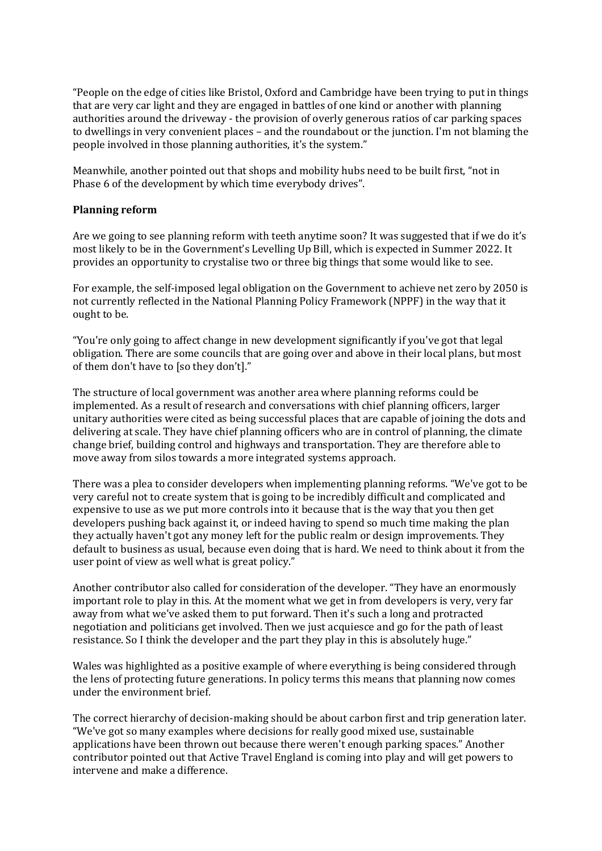"People on the edge of cities like Bristol, Oxford and Cambridge have been trying to put in things that are very car light and they are engaged in battles of one kind or another with planning authorities around the driveway - the provision of overly generous ratios of car parking spaces to dwellings in very convenient places – and the roundabout or the junction. I'm not blaming the people involved in those planning authorities, it's the system."

Meanwhile, another pointed out that shops and mobility hubs need to be built first, "not in Phase 6 of the development by which time everybody drives".

#### **Planning reform**

Are we going to see planning reform with teeth anytime soon? It was suggested that if we do it's most likely to be in the Government's Levelling Up Bill, which is expected in Summer 2022. It provides an opportunity to crystalise two or three big things that some would like to see.

For example, the self-imposed legal obligation on the Government to achieve net zero by 2050 is not currently reflected in the National Planning Policy Framework (NPPF) in the way that it ought to be.

"You're only going to affect change in new development significantly if you've got that legal obligation. There are some councils that are going over and above in their local plans, but most of them don't have to [so they don't]."

The structure of local government was another area where planning reforms could be implemented. As a result of research and conversations with chief planning officers, larger unitary authorities were cited as being successful places that are capable of joining the dots and delivering at scale. They have chief planning officers who are in control of planning, the climate change brief, building control and highways and transportation. They are therefore able to move away from silos towards a more integrated systems approach.

There was a plea to consider developers when implementing planning reforms. "We've got to be very careful not to create system that is going to be incredibly difficult and complicated and expensive to use as we put more controls into it because that is the way that you then get developers pushing back against it, or indeed having to spend so much time making the plan they actually haven't got any money left for the public realm or design improvements. They default to business as usual, because even doing that is hard. We need to think about it from the user point of view as well what is great policy."

Another contributor also called for consideration of the developer. "They have an enormously important role to play in this. At the moment what we get in from developers is very, very far away from what we've asked them to put forward. Then it's such a long and protracted negotiation and politicians get involved. Then we just acquiesce and go for the path of least resistance. So I think the developer and the part they play in this is absolutely huge."

Wales was highlighted as a positive example of where everything is being considered through the lens of protecting future generations. In policy terms this means that planning now comes under the environment brief.

The correct hierarchy of decision-making should be about carbon first and trip generation later. "We've got so many examples where decisions for really good mixed use, sustainable applications have been thrown out because there weren't enough parking spaces." Another contributor pointed out that Active Travel England is coming into play and will get powers to intervene and make a difference.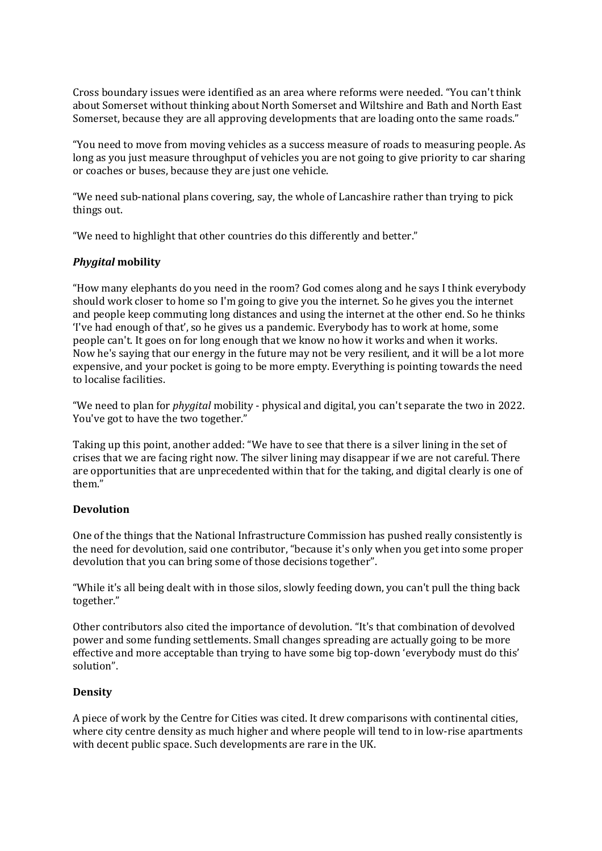Cross boundary issues were identified as an area where reforms were needed. "You can't think about Somerset without thinking about North Somerset and Wiltshire and Bath and North East Somerset, because they are all approving developments that are loading onto the same roads."

"You need to move from moving vehicles as a success measure of roads to measuring people. As long as you just measure throughput of vehicles you are not going to give priority to car sharing or coaches or buses, because they are just one vehicle.

"We need sub-national plans covering, say, the whole of Lancashire rather than trying to pick things out.

"We need to highlight that other countries do this differently and better."

#### *Phygital* **mobility**

"How many elephants do you need in the room? God comes along and he says I think everybody should work closer to home so I'm going to give you the internet. So he gives you the internet and people keep commuting long distances and using the internet at the other end. So he thinks 'I've had enough of that', so he gives us a pandemic. Everybody has to work at home, some people can't. It goes on for long enough that we know no how it works and when it works. Now he's saying that our energy in the future may not be very resilient, and it will be a lot more expensive, and your pocket is going to be more empty. Everything is pointing towards the need to localise facilities.

"We need to plan for *phygital* mobility - physical and digital, you can't separate the two in 2022. You've got to have the two together."

Taking up this point, another added: "We have to see that there is a silver lining in the set of crises that we are facing right now. The silver lining may disappear if we are not careful. There are opportunities that are unprecedented within that for the taking, and digital clearly is one of them."

#### **Devolution**

One of the things that the National Infrastructure Commission has pushed really consistently is the need for devolution, said one contributor, "because it's only when you get into some proper devolution that you can bring some of those decisions together".

"While it's all being dealt with in those silos, slowly feeding down, you can't pull the thing back together."

Other contributors also cited the importance of devolution. "It's that combination of devolved power and some funding settlements. Small changes spreading are actually going to be more effective and more acceptable than trying to have some big top-down 'everybody must do this' solution".

#### **Density**

A piece of work by the Centre for Cities was cited. It drew comparisons with continental cities, where city centre density as much higher and where people will tend to in low-rise apartments with decent public space. Such developments are rare in the UK.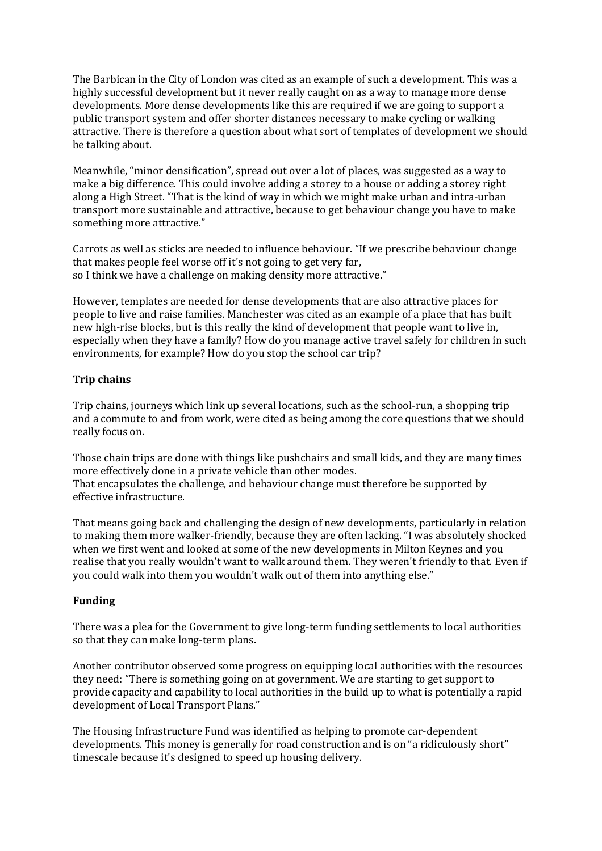The Barbican in the City of London was cited as an example of such a development. This was a highly successful development but it never really caught on as a way to manage more dense developments. More dense developments like this are required if we are going to support a public transport system and offer shorter distances necessary to make cycling or walking attractive. There is therefore a question about what sort of templates of development we should be talking about.

Meanwhile, "minor densification", spread out over a lot of places, was suggested as a way to make a big difference. This could involve adding a storey to a house or adding a storey right along a High Street. "That is the kind of way in which we might make urban and intra-urban transport more sustainable and attractive, because to get behaviour change you have to make something more attractive."

Carrots as well as sticks are needed to influence behaviour. "If we prescribe behaviour change that makes people feel worse off it's not going to get very far, so I think we have a challenge on making density more attractive."

However, templates are needed for dense developments that are also attractive places for people to live and raise families. Manchester was cited as an example of a place that has built new high-rise blocks, but is this really the kind of development that people want to live in, especially when they have a family? How do you manage active travel safely for children in such environments, for example? How do you stop the school car trip?

## **Trip chains**

Trip chains, journeys which link up several locations, such as the school-run, a shopping trip and a commute to and from work, were cited as being among the core questions that we should really focus on.

Those chain trips are done with things like pushchairs and small kids, and they are many times more effectively done in a private vehicle than other modes. That encapsulates the challenge, and behaviour change must therefore be supported by effective infrastructure.

That means going back and challenging the design of new developments, particularly in relation to making them more walker-friendly, because they are often lacking. "I was absolutely shocked when we first went and looked at some of the new developments in Milton Keynes and you realise that you really wouldn't want to walk around them. They weren't friendly to that. Even if you could walk into them you wouldn't walk out of them into anything else."

#### **Funding**

There was a plea for the Government to give long-term funding settlements to local authorities so that they can make long-term plans.

Another contributor observed some progress on equipping local authorities with the resources they need: "There is something going on at government. We are starting to get support to provide capacity and capability to local authorities in the build up to what is potentially a rapid development of Local Transport Plans."

The Housing Infrastructure Fund was identified as helping to promote car-dependent developments. This money is generally for road construction and is on "a ridiculously short" timescale because it's designed to speed up housing delivery.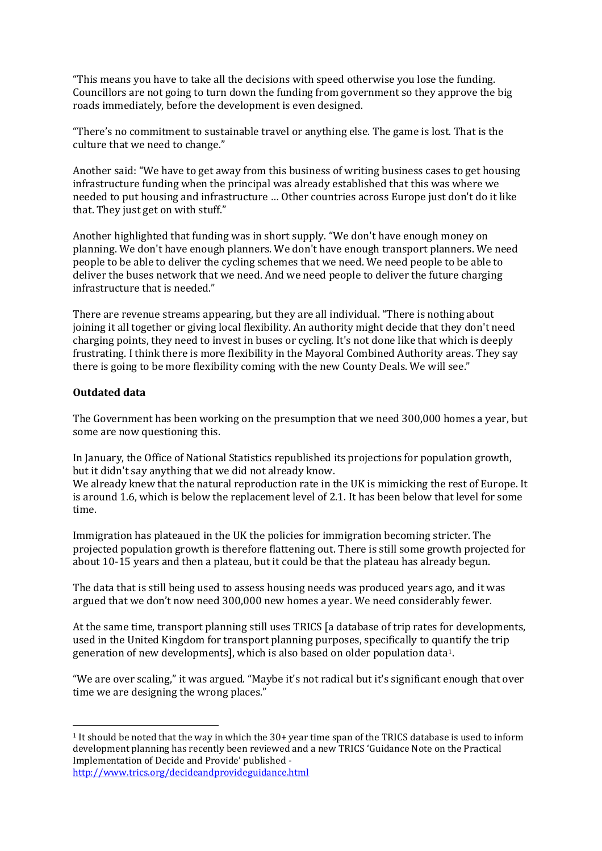"This means you have to take all the decisions with speed otherwise you lose the funding. Councillors are not going to turn down the funding from government so they approve the big roads immediately, before the development is even designed.

"There's no commitment to sustainable travel or anything else. The game is lost. That is the culture that we need to change."

Another said: "We have to get away from this business of writing business cases to get housing infrastructure funding when the principal was already established that this was where we needed to put housing and infrastructure … Other countries across Europe just don't do it like that. They just get on with stuff."

Another highlighted that funding was in short supply. "We don't have enough money on planning. We don't have enough planners. We don't have enough transport planners. We need people to be able to deliver the cycling schemes that we need. We need people to be able to deliver the buses network that we need. And we need people to deliver the future charging infrastructure that is needed."

There are revenue streams appearing, but they are all individual. "There is nothing about joining it all together or giving local flexibility. An authority might decide that they don't need charging points, they need to invest in buses or cycling. It's not done like that which is deeply frustrating. I think there is more flexibility in the Mayoral Combined Authority areas. They say there is going to be more flexibility coming with the new County Deals. We will see."

### **Outdated data**

The Government has been working on the presumption that we need 300,000 homes a year, but some are now questioning this.

In January, the Office of National Statistics republished its projections for population growth, but it didn't say anything that we did not already know.

We already knew that the natural reproduction rate in the UK is mimicking the rest of Europe. It is around 1.6, which is below the replacement level of 2.1. It has been below that level for some time.

Immigration has plateaued in the UK the policies for immigration becoming stricter. The projected population growth is therefore flattening out. There is still some growth projected for about 10-15 years and then a plateau, but it could be that the plateau has already begun.

The data that is still being used to assess housing needs was produced years ago, and it was argued that we don't now need 300,000 new homes a year. We need considerably fewer.

At the same time, transport planning still uses TRICS [a database of trip rates for developments, used in the United Kingdom for transport planning purposes, specifically to quantify the trip generation of new developments], which is also based on older population data1.

"We are over scaling," it was argued. "Maybe it's not radical but it's significant enough that over time we are designing the wrong places."

<sup>1</sup> It should be noted that the way in which the 30+ year time span of the TRICS database is used to inform development planning has recently been reviewed and a new TRICS 'Guidance Note on the Practical Implementation of Decide and Provide' published <http://www.trics.org/decideandprovideguidance.html>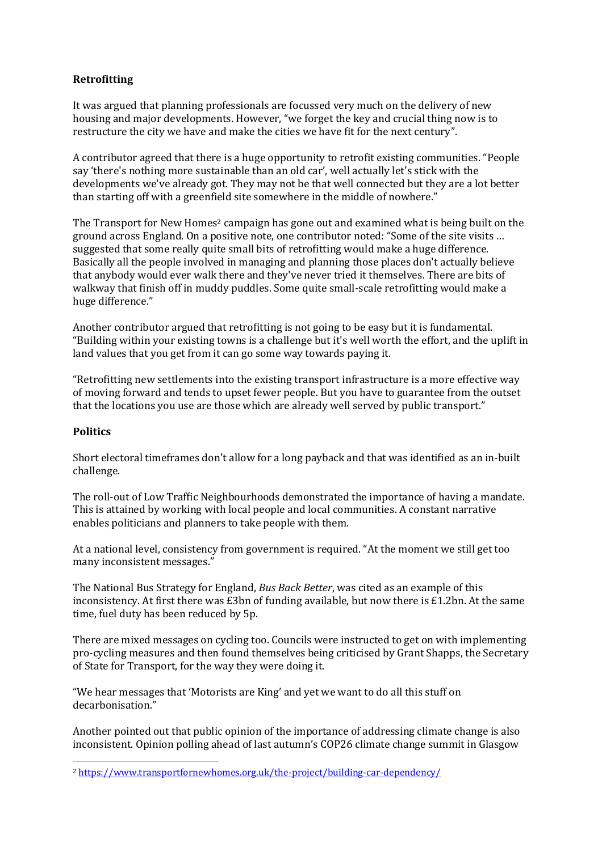#### **Retrofitting**

It was argued that planning professionals are focussed very much on the delivery of new housing and major developments. However, "we forget the key and crucial thing now is to restructure the city we have and make the cities we have fit for the next century".

A contributor agreed that there is a huge opportunity to retrofit existing communities. "People say 'there's nothing more sustainable than an old car', well actually let's stick with the developments we've already got. They may not be that well connected but they are a lot better than starting off with a greenfield site somewhere in the middle of nowhere."

The Transport for New Homes<sup>2</sup> campaign has gone out and examined what is being built on the ground across England. On a positive note, one contributor noted: "Some of the site visits … suggested that some really quite small bits of retrofitting would make a huge difference. Basically all the people involved in managing and planning those places don't actually believe that anybody would ever walk there and they've never tried it themselves. There are bits of walkway that finish off in muddy puddles. Some quite small-scale retrofitting would make a huge difference."

Another contributor argued that retrofitting is not going to be easy but it is fundamental. "Building within your existing towns is a challenge but it's well worth the effort, and the uplift in land values that you get from it can go some way towards paying it.

"Retrofitting new settlements into the existing transport infrastructure is a more effective way of moving forward and tends to upset fewer people. But you have to guarantee from the outset that the locations you use are those which are already well served by public transport."

### **Politics**

Short electoral timeframes don't allow for a long payback and that was identified as an in-built challenge.

The roll-out of Low Traffic Neighbourhoods demonstrated the importance of having a mandate. This is attained by working with local people and local communities. A constant narrative enables politicians and planners to take people with them.

At a national level, consistency from government is required. "At the moment we still get too many inconsistent messages."

The National Bus Strategy for England, *Bus Back Better*, was cited as an example of this inconsistency. At first there was £3bn of funding available, but now there is £1.2bn. At the same time, fuel duty has been reduced by 5p.

There are mixed messages on cycling too. Councils were instructed to get on with implementing pro-cycling measures and then found themselves being criticised by Grant Shapps, the Secretary of State for Transport, for the way they were doing it.

"We hear messages that 'Motorists are King' and yet we want to do all this stuff on decarbonisation."

Another pointed out that public opinion of the importance of addressing climate change is also inconsistent. Opinion polling ahead of last autumn's COP26 climate change summit in Glasgow

<sup>2</sup> <https://www.transportfornewhomes.org.uk/the-project/building-car-dependency/>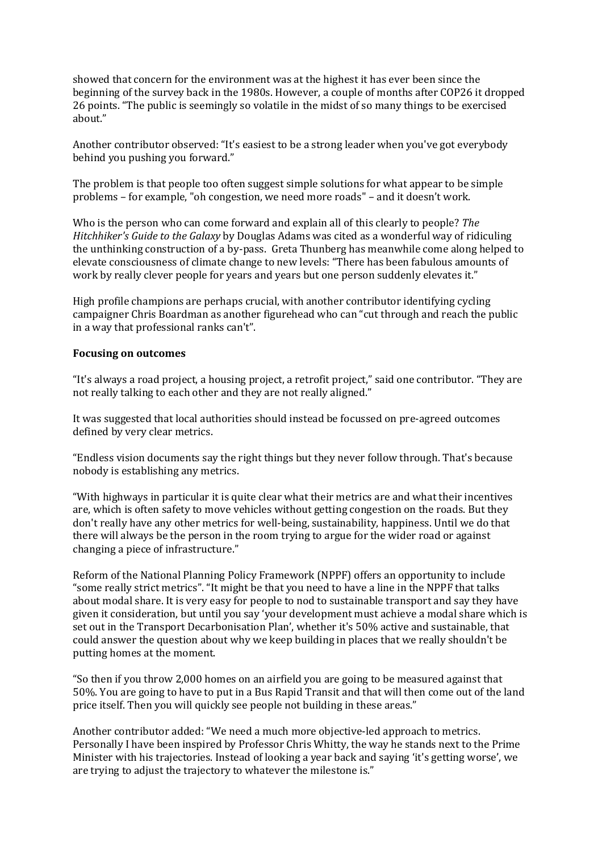showed that concern for the environment was at the highest it has ever been since the beginning of the survey back in the 1980s. However, a couple of months after COP26 it dropped 26 points. "The public is seemingly so volatile in the midst of so many things to be exercised about."

Another contributor observed: "It's easiest to be a strong leader when you've got everybody behind you pushing you forward."

The problem is that people too often suggest simple solutions for what appear to be simple problems – for example, "oh congestion, we need more roads" – and it doesn't work.

Who is the person who can come forward and explain all of this clearly to people? *The Hitchhiker's Guide to the Galaxy* by Douglas Adams was cited as a wonderful way of ridiculing the unthinking construction of a by-pass. Greta Thunberg has meanwhile come along helped to elevate consciousness of climate change to new levels: "There has been fabulous amounts of work by really clever people for years and years but one person suddenly elevates it."

High profile champions are perhaps crucial, with another contributor identifying cycling campaigner Chris Boardman as another figurehead who can "cut through and reach the public in a way that professional ranks can't".

#### **Focusing on outcomes**

"It's always a road project, a housing project, a retrofit project," said one contributor. "They are not really talking to each other and they are not really aligned."

It was suggested that local authorities should instead be focussed on pre-agreed outcomes defined by very clear metrics.

"Endless vision documents say the right things but they never follow through. That's because nobody is establishing any metrics.

"With highways in particular it is quite clear what their metrics are and what their incentives are, which is often safety to move vehicles without getting congestion on the roads. But they don't really have any other metrics for well-being, sustainability, happiness. Until we do that there will always be the person in the room trying to argue for the wider road or against changing a piece of infrastructure."

Reform of the National Planning Policy Framework (NPPF) offers an opportunity to include "some really strict metrics". "It might be that you need to have a line in the NPPF that talks about modal share. It is very easy for people to nod to sustainable transport and say they have given it consideration, but until you say 'your development must achieve a modal share which is set out in the Transport Decarbonisation Plan', whether it's 50% active and sustainable, that could answer the question about why we keep building in places that we really shouldn't be putting homes at the moment.

"So then if you throw 2,000 homes on an airfield you are going to be measured against that 50%. You are going to have to put in a Bus Rapid Transit and that will then come out of the land price itself. Then you will quickly see people not building in these areas."

Another contributor added: "We need a much more objective-led approach to metrics. Personally I have been inspired by Professor Chris Whitty, the way he stands next to the Prime Minister with his trajectories. Instead of looking a year back and saying 'it's getting worse', we are trying to adjust the trajectory to whatever the milestone is."